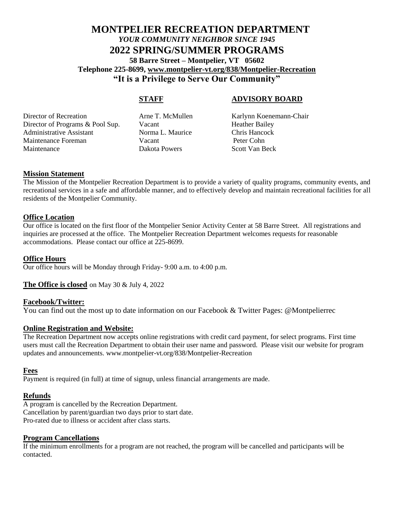#### **MONTPELIER RECREATION DEPARTMENT** *YOUR COMMUNITY NEIGHBOR SINCE 1945* **2022 SPRING/SUMMER PROGRAMS 58 Barre Street – Montpelier, VT 05602 Telephone 225-8699, www.montpelier-vt.org/838/Montpelier-Recreation "It is a Privilege to Serve Our Community"**

#### **STAFF ADVISORY BOARD**

Director of Recreation Arne T. McMullen Karlynn Koenemann-Chair Director of Programs & Pool Sup. Vacant Heather Bailey Administrative Assistant Norma L. Maurice Chris Hancock Maintenance Foreman Vacant Peter Cohn Maintenance Dakota Powers Scott Van Beck

#### **Mission Statement**

The Mission of the Montpelier Recreation Department is to provide a variety of quality programs, community events, and recreational services in a safe and affordable manner, and to effectively develop and maintain recreational facilities for all residents of the Montpelier Community.

#### **Office Location**

Our office is located on the first floor of the Montpelier Senior Activity Center at 58 Barre Street. All registrations and inquiries are processed at the office. The Montpelier Recreation Department welcomes requests for reasonable accommodations. Please contact our office at 225-8699.

#### **Office Hours**

Our office hours will be Monday through Friday- 9:00 a.m. to 4:00 p.m.

#### **The Office is closed** on May 30 & July 4, 2022

#### **Facebook/Twitter:**

You can find out the most up to date information on our Facebook & Twitter Pages: @Montpelierrec

#### **Online Registration and Website:**

The Recreation Department now accepts online registrations with credit card payment, for select programs. First time users must call the Recreation Department to obtain their user name and password. Please visit our website for program updates and announcements. www.montpelier-vt.org/838/Montpelier-Recreation

#### **Fees**

Payment is required (in full) at time of signup, unless financial arrangements are made.

#### **Refunds**

A program is cancelled by the Recreation Department. Cancellation by parent/guardian two days prior to start date. Pro-rated due to illness or accident after class starts.

#### **Program Cancellations**

If the minimum enrollments for a program are not reached, the program will be cancelled and participants will be contacted.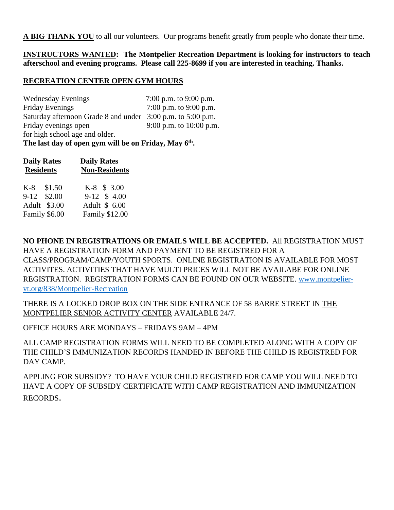**A BIG THANK YOU** to all our volunteers. Our programs benefit greatly from people who donate their time.

**INSTRUCTORS WANTED: The Montpelier Recreation Department is looking for instructors to teach afterschool and evening programs. Please call 225-8699 if you are interested in teaching. Thanks.**

#### **RECREATION CENTER OPEN GYM HOURS**

Wednesday Evenings 7:00 p.m. to 9:00 p.m. Friday Evenings 7:00 p.m. to 9:00 p.m. Saturday afternoon Grade 8 and under 3:00 p.m. to 5:00 p.m.<br>Friday evenings open 9:00 p.m. to 10:00 p.m 9:00 p.m. to  $10:00$  p.m. for high school age and older.

**The last day of open gym will be on Friday, May 6 th .**

| <b>Daily Rates</b><br><b>Residents</b> | <b>Daily Rates</b><br><b>Non-Residents</b> |  |  |  |
|----------------------------------------|--------------------------------------------|--|--|--|
| $K-8$ \$1.50                           | K-8 \$ 3.00                                |  |  |  |
| 9-12 \$2.00                            | 9-12 \$4.00                                |  |  |  |
| Adult \$3.00                           | Adult \$ 6.00                              |  |  |  |
| Family \$6.00                          | <b>Family \$12.00</b>                      |  |  |  |

**NO PHONE IN REGISTRATIONS OR EMAILS WILL BE ACCEPTED.** All REGISTRATION MUST HAVE A REGISTRATION FORM AND PAYMENT TO BE REGISTRED FOR A CLASS/PROGRAM/CAMP/YOUTH SPORTS. ONLINE REGISTRATION IS AVAILABLE FOR MOST ACTIVITES. ACTIVITIES THAT HAVE MULTI PRICES WILL NOT BE AVAILABE FOR ONLINE REGISTRATION. REGISTRATION FORMS CAN BE FOUND ON OUR WEBSITE. www.montpeliervt.org/838/Montpelier-Recreation

THERE IS A LOCKED DROP BOX ON THE SIDE ENTRANCE OF 58 BARRE STREET IN THE MONTPELIER SENIOR ACTIVITY CENTER AVAILABLE 24/7.

OFFICE HOURS ARE MONDAYS – FRIDAYS 9AM – 4PM

ALL CAMP REGISTRATION FORMS WILL NEED TO BE COMPLETED ALONG WITH A COPY OF THE CHILD'S IMMUNIZATION RECORDS HANDED IN BEFORE THE CHILD IS REGISTRED FOR DAY CAMP.

APPLING FOR SUBSIDY? TO HAVE YOUR CHILD REGISTRED FOR CAMP YOU WILL NEED TO HAVE A COPY OF SUBSIDY CERTIFICATE WITH CAMP REGISTRATION AND IMMUNIZATION RECORDS.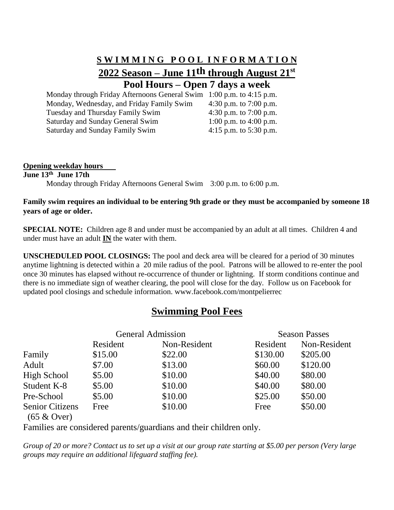#### **S W I M M I N G P O O L I N F O R M A T I O N 2022 Season – June 11th through August 21st Pool Hours – Open 7 days a week**

Monday through Friday Afternoons General Swim 1:00 p.m. to 4:15 p.m. Monday, Wednesday, and Friday Family Swim 4:30 p.m. to 7:00 p.m. Tuesday and Thursday Family Swim 4:30 p.m. to 7:00 p.m. Saturday and Sunday General Swim 1:00 p.m. to 4:00 p.m. Saturday and Sunday Family Swim 4:15 p.m. to 5:30 p.m.

#### **Opening weekday hours**

**June 13 th June 17th**

Monday through Friday Afternoons General Swim 3:00 p.m. to 6:00 p.m.

#### **Family swim requires an individual to be entering 9th grade or they must be accompanied by someone 18 years of age or older.**

**SPECIAL NOTE:** Children age 8 and under must be accompanied by an adult at all times. Children 4 and under must have an adult **IN** the water with them.

**UNSCHEDULED POOL CLOSINGS:** The pool and deck area will be cleared for a period of 30 minutes anytime lightning is detected within a 20 mile radius of the pool. Patrons will be allowed to re-enter the pool once 30 minutes has elapsed without re-occurrence of thunder or lightning. If storm conditions continue and there is no immediate sign of weather clearing, the pool will close for the day. Follow us on Facebook for updated pool closings and schedule information. www.facebook.com/montpelierrec

#### **Swimming Pool Fees**

|          |              | <b>Season Passes</b>     |              |  |
|----------|--------------|--------------------------|--------------|--|
| Resident | Non-Resident | Resident                 | Non-Resident |  |
| \$15.00  | \$22.00      | \$130.00                 | \$205.00     |  |
| \$7.00   | \$13.00      | \$60.00                  | \$120.00     |  |
| \$5.00   | \$10.00      | \$40.00                  | \$80.00      |  |
| \$5.00   | \$10.00      | \$40.00                  | \$80.00      |  |
| \$5.00   | \$10.00      | \$25.00                  | \$50.00      |  |
| Free     | \$10.00      | Free                     | \$50.00      |  |
|          |              | <b>General Admission</b> |              |  |

(65 & Over)

Families are considered parents/guardians and their children only.

*Group of 20 or more? Contact us to set up a visit at our group rate starting at \$5.00 per person (Very large groups may require an additional lifeguard staffing fee).*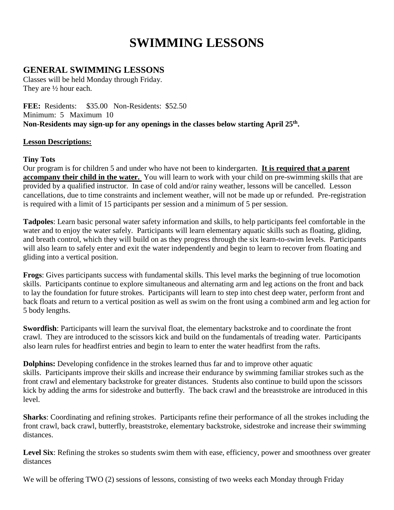## **SWIMMING LESSONS**

#### **GENERAL SWIMMING LESSONS**

Classes will be held Monday through Friday. They are ½ hour each.

**FEE:** Residents: \$35.00 Non-Residents: \$52.50 Minimum: 5 Maximum 10 **Non-Residents may sign-up for any openings in the classes below starting April 25th .** 

#### **Lesson Descriptions:**

#### **Tiny Tots**

Our program is for children 5 and under who have not been to kindergarten. **It is required that a parent accompany their child in the water.** You will learn to work with your child on pre-swimming skills that are provided by a qualified instructor. In case of cold and/or rainy weather, lessons will be cancelled. Lesson cancellations, due to time constraints and inclement weather, will not be made up or refunded. Pre-registration is required with a limit of 15 participants per session and a minimum of 5 per session.

**Tadpoles**: Learn basic personal water safety information and skills, to help participants feel comfortable in the water and to enjoy the water safely. Participants will learn elementary aquatic skills such as floating, gliding, and breath control, which they will build on as they progress through the six learn-to-swim levels. Participants will also learn to safely enter and exit the water independently and begin to learn to recover from floating and gliding into a vertical position.

**Frogs**: Gives participants success with fundamental skills. This level marks the beginning of true locomotion skills. Participants continue to explore simultaneous and alternating arm and leg actions on the front and back to lay the foundation for future strokes. Participants will learn to step into chest deep water, perform front and back floats and return to a vertical position as well as swim on the front using a combined arm and leg action for 5 body lengths.

**Swordfish**: Participants will learn the survival float, the elementary backstroke and to coordinate the front crawl. They are introduced to the scissors kick and build on the fundamentals of treading water. Participants also learn rules for headfirst entries and begin to learn to enter the water headfirst from the rafts.

**Dolphins:** Developing confidence in the strokes learned thus far and to improve other aquatic skills. Participants improve their skills and increase their endurance by swimming familiar strokes such as the front crawl and elementary backstroke for greater distances. Students also continue to build upon the scissors kick by adding the arms for sidestroke and butterfly. The back crawl and the breaststroke are introduced in this level.

**Sharks**: Coordinating and refining strokes. Participants refine their performance of all the strokes including the front crawl, back crawl, butterfly, breaststroke, elementary backstroke, sidestroke and increase their swimming distances.

Level Six: Refining the strokes so students swim them with ease, efficiency, power and smoothness over greater distances

We will be offering TWO (2) sessions of lessons, consisting of two weeks each Monday through Friday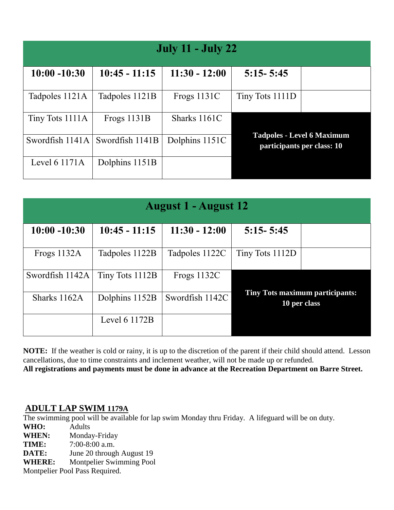| <b>July 11 - July 22</b> |                 |                 |                                                                 |  |  |
|--------------------------|-----------------|-----------------|-----------------------------------------------------------------|--|--|
| $10:00 - 10:30$          | $10:45 - 11:15$ | $11:30 - 12:00$ | $5:15 - 5:45$                                                   |  |  |
| Tadpoles 1121A           | Tadpoles 1121B  | Frogs $1131C$   | Tiny Tots 1111D                                                 |  |  |
| Tiny Tots 1111A          | Frogs 1131B     | Sharks 1161C    |                                                                 |  |  |
| Swordfish 1141A          | Swordfish 1141B | Dolphins 1151C  | <b>Tadpoles - Level 6 Maximum</b><br>participants per class: 10 |  |  |
| Level 6 1171A            | Dolphins 1151B  |                 |                                                                 |  |  |

|                 | <b>August 1 - August 12</b> |                 |                 |                                                        |  |  |
|-----------------|-----------------------------|-----------------|-----------------|--------------------------------------------------------|--|--|
| $10:00 - 10:30$ | $10:45 - 11:15$             | $11:30 - 12:00$ | $5:15 - 5:45$   |                                                        |  |  |
| Frogs 1132A     | Tadpoles 1122B              | Tadpoles 1122C  | Tiny Tots 1112D |                                                        |  |  |
| Swordfish 1142A | Tiny Tots 1112B             | Frogs $1132C$   |                 |                                                        |  |  |
| Sharks 1162A    | Dolphins 1152B              | Swordfish 1142C |                 | <b>Tiny Tots maximum participants:</b><br>10 per class |  |  |
|                 | Level $61172B$              |                 |                 |                                                        |  |  |

**NOTE:** If the weather is cold or rainy, it is up to the discretion of the parent if their child should attend. Lesson cancellations, due to time constraints and inclement weather, will not be made up or refunded. **All registrations and payments must be done in advance at the Recreation Department on Barre Street.**

#### **ADULT LAP SWIM 1179A**

The swimming pool will be available for lap swim Monday thru Friday. A lifeguard will be on duty.

**WHO:** Adults

**WHEN:** Monday-Friday

**TIME:** 7:00-8:00 a.m.

**DATE:** June 20 through August 19

**WHERE:** Montpelier Swimming Pool

Montpelier Pool Pass Required.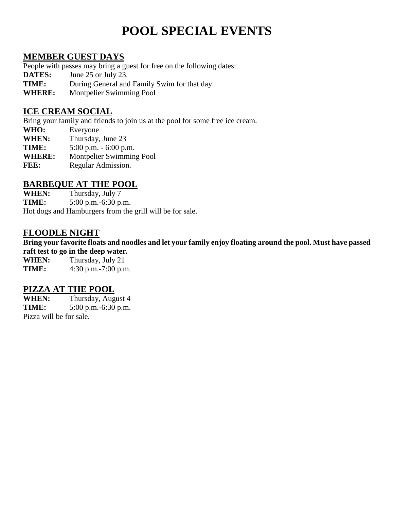## **POOL SPECIAL EVENTS**

#### **MEMBER GUEST DAYS**

People with passes may bring a guest for free on the following dates:

- **DATES:** June 25 or July 23.
- **TIME:** During General and Family Swim for that day.<br>WHERE: Montpelier Swimming Pool
- **Montpelier Swimming Pool**

#### **ICE CREAM SOCIAL**

Bring your family and friends to join us at the pool for some free ice cream.

- **WHO:** Everyone
- **WHEN:** Thursday, June 23
- **TIME:** 5:00 p.m. 6:00 p.m.
- **WHERE:** Montpelier Swimming Pool
- **FEE:** Regular Admission.

#### **BARBEQUE AT THE POOL**

**WHEN:** Thursday, July 7

**TIME:** 5:00 p.m.-6:30 p.m.

Hot dogs and Hamburgers from the grill will be for sale.

#### **FLOODLE NIGHT**

**Bring your favorite floats and noodles and let your family enjoy floating around the pool. Must have passed raft test to go in the deep water.**

**WHEN:** Thursday, July 21 **TIME:** 4:30 p.m.-7:00 p.m.

#### **PIZZA AT THE POOL**

**WHEN:** Thursday, August 4 **TIME:** 5:00 p.m.-6:30 p.m. Pizza will be for sale.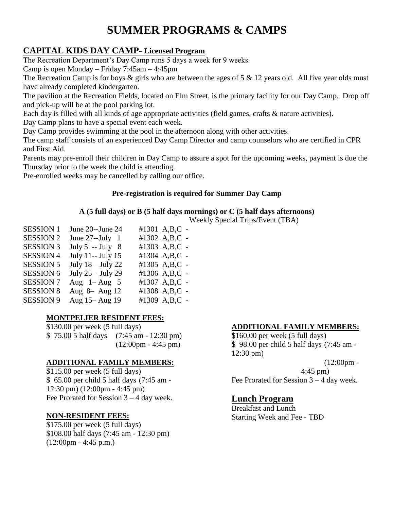## **SUMMER PROGRAMS & CAMPS**

#### **CAPITAL KIDS DAY CAMP- Licensed Program**

The Recreation Department's Day Camp runs 5 days a week for 9 weeks.

Camp is open Monday – Friday 7:45am – 4:45pm

The Recreation Camp is for boys  $\&$  girls who are between the ages of 5  $\&$  12 years old. All five year olds must have already completed kindergarten.

The pavilion at the Recreation Fields, located on Elm Street, is the primary facility for our Day Camp. Drop off and pick-up will be at the pool parking lot.

Each day is filled with all kinds of age appropriate activities (field games, crafts & nature activities).

Day Camp plans to have a special event each week.

Day Camp provides swimming at the pool in the afternoon along with other activities.

The camp staff consists of an experienced Day Camp Director and camp counselors who are certified in CPR and First Aid.

Parents may pre-enroll their children in Day Camp to assure a spot for the upcoming weeks, payment is due the Thursday prior to the week the child is attending.

Pre-enrolled weeks may be cancelled by calling our office.

#### **Pre-registration is required for Summer Day Camp**

#### **A (5 full days) or B (5 half days mornings) or C (5 half days afternoons)**

Weekly Special Trips/Event (TBA)

| <b>SESSION 1</b> | June 20--June 24    | #1301 A,B,C - |
|------------------|---------------------|---------------|
| <b>SESSION 2</b> | June $27$ --July 1  | #1302 A,B,C - |
| <b>SESSION 3</b> | July $5 - July 8$   | #1303 A,B,C - |
| <b>SESSION 4</b> | July 11-- July 15   | #1304 A,B,C - |
| <b>SESSION 5</b> | July $18 -$ July 22 | #1305 A,B,C - |
| <b>SESSION 6</b> | July 25 - July 29   | #1306 A,B,C - |
| <b>SESSION 7</b> | Aug $1 - Aug$ 5     | #1307 A,B,C - |
| <b>SESSION 8</b> | Aug 8- Aug 12       | #1308 A,B,C - |
| <b>SESSION 9</b> | Aug 15 - Aug 19     | #1309 A,B,C - |
|                  |                     |               |

#### **MONTPELIER RESIDENT FEES:**

\$130.00 per week (5 full days) \$ 75.00 5 half days (7:45 am - 12:30 pm)  $(12:00 \text{pm} - 4:45 \text{pm})$ 

#### **ADDITIONAL FAMILY MEMBERS:**

\$115.00 per week (5 full days) \$ 65.00 per child 5 half days (7:45 am - 12:30 pm) (12:00pm - 4:45 pm) Fee Prorated for Session 3 – 4 day week.

#### **NON-RESIDENT FEES:**

\$175.00 per week (5 full days) \$108.00 half days (7:45 am - 12:30 pm) (12:00pm - 4:45 p.m.)

#### **ADDITIONAL FAMILY MEMBERS:**

\$160.00 per week (5 full days) \$ 98.00 per child 5 half days (7:45 am - 12:30 pm)

 $(12:00 \text{pm} -$ 4:45 pm) Fee Prorated for Session 3 – 4 day week.

#### **Lunch Program**

Breakfast and Lunch Starting Week and Fee - TBD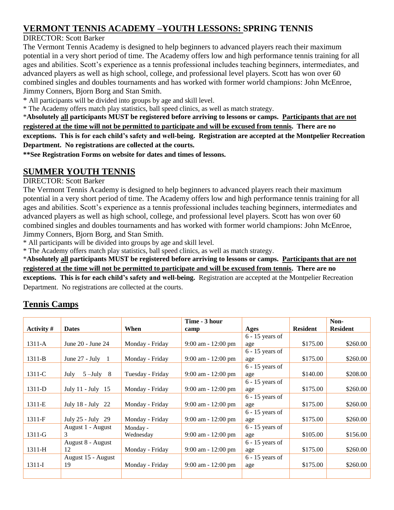#### **VERMONT TENNIS ACADEMY –YOUTH LESSONS: SPRING TENNIS**

#### DIRECTOR: Scott Barker

The Vermont Tennis Academy is designed to help beginners to advanced players reach their maximum potential in a very short period of time. The Academy offers low and high performance tennis training for all ages and abilities. Scott's experience as a tennis professional includes teaching beginners, intermediates, and advanced players as well as high school, college, and professional level players. Scott has won over 60 combined singles and doubles tournaments and has worked with former world champions: John McEnroe, Jimmy Conners, Bjorn Borg and Stan Smith.

\* All participants will be divided into groups by age and skill level.

\* The Academy offers match play statistics, ball speed clinics, as well as match strategy.

\***Absolutely all participants MUST be registered before arriving to lessons or camps. Participants that are not registered at the time will not be permitted to participate and will be excused from tennis. There are no exceptions. This is for each child's safety and well-being. Registration are accepted at the Montpelier Recreation Department. No registrations are collected at the courts.**

**\*\*See Registration Forms on website for dates and times of lessons.**

#### **SUMMER YOUTH TENNIS**

#### DIRECTOR: Scott Barker

The Vermont Tennis Academy is designed to help beginners to advanced players reach their maximum potential in a very short period of time. The Academy offers low and high performance tennis training for all ages and abilities. Scott's experience as a tennis professional includes teaching beginners, intermediates and advanced players as well as high school, college, and professional level players. Scott has won over 60 combined singles and doubles tournaments and has worked with former world champions: John McEnroe, Jimmy Conners, Bjorn Borg, and Stan Smith.

\* All participants will be divided into groups by age and skill level.

\* The Academy offers match play statistics, ball speed clinics, as well as match strategy.

\***Absolutely all participants MUST be registered before arriving to lessons or camps. Participants that are not registered at the time will not be permitted to participate and will be excused from tennis. There are no exceptions. This is for each child's safety and well-being.** Registration are accepted at the Montpelier Recreation Department. No registrations are collected at the courts.

#### **Tennis Camps**

|            |                                 |                  | Time - 3 hour         |                   |                 | Non-            |
|------------|---------------------------------|------------------|-----------------------|-------------------|-----------------|-----------------|
| Activity # | <b>Dates</b>                    | When             | camp                  | Ages              | <b>Resident</b> | <b>Resident</b> |
|            |                                 |                  |                       | $6 - 15$ years of |                 |                 |
| $1311-A$   | June 20 - June 24               | Monday - Friday  | $9:00$ am - 12:00 pm  | age               | \$175.00        | \$260.00        |
|            |                                 |                  |                       | $6 - 15$ years of |                 |                 |
| 1311-B     | June $27 - \text{July} \quad 1$ | Monday - Friday  | $9:00$ am $-12:00$ pm | age               | \$175.00        | \$260.00        |
|            |                                 |                  |                       | $6 - 15$ years of |                 |                 |
| 1311-C     | $5 - July 8$<br>July            | Tuesday - Friday | $9:00$ am - 12:00 pm  | age               | \$140.00        | \$208.00        |
|            |                                 |                  |                       | $6 - 15$ years of |                 |                 |
| 1311-D     | July 11 - July 15               | Monday - Friday  | $9:00$ am - 12:00 pm  | age               | \$175.00        | \$260.00        |
|            |                                 |                  |                       | $6 - 15$ years of |                 |                 |
| 1311-E     | July 18 - July 22               | Monday - Friday  | $9:00$ am - 12:00 pm  | age               | \$175.00        | \$260.00        |
|            |                                 |                  |                       | $6 - 15$ years of |                 |                 |
| 1311-F     | July $25 - July 29$             | Monday - Friday  | $9:00$ am - 12:00 pm  | age               | \$175.00        | \$260.00        |
|            | August 1 - August               | Monday -         |                       | $6 - 15$ years of |                 |                 |
| $1311-G$   | 3                               | Wednesday        | $9:00$ am - 12:00 pm  | age               | \$105.00        | \$156.00        |
|            | August 8 - August               |                  |                       | $6 - 15$ years of |                 |                 |
| 1311-H     | 12                              | Monday - Friday  | $9:00$ am - 12:00 pm  | age               | \$175.00        | \$260.00        |
|            | August 15 - August              |                  |                       | $6 - 15$ years of |                 |                 |
| 1311-I     | 19                              | Monday - Friday  | $9:00$ am - 12:00 pm  | age               | \$175.00        | \$260.00        |
|            |                                 |                  |                       |                   |                 |                 |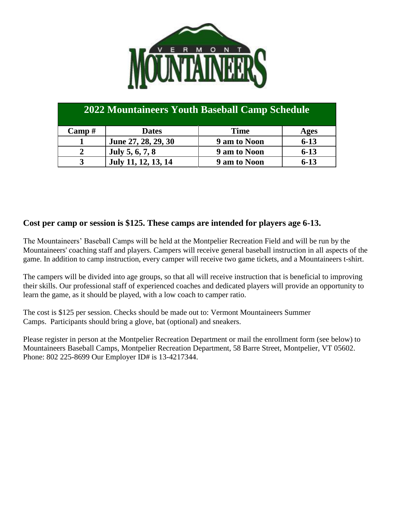

| 2022 Mountaineers Youth Baseball Camp Schedule |                     |              |          |  |  |
|------------------------------------------------|---------------------|--------------|----------|--|--|
| $\bf Camp$ #                                   | <b>Dates</b>        | <b>Time</b>  | Ages     |  |  |
|                                                | June 27, 28, 29, 30 | 9 am to Noon | $6 - 13$ |  |  |
| 2                                              | July 5, 6, 7, 8     | 9 am to Noon | $6 - 13$ |  |  |
| 3                                              | July 11, 12, 13, 14 | 9 am to Noon | $6 - 13$ |  |  |

#### **Cost per camp or session is \$125. These camps are intended for players age 6-13.**

The Mountaineers' Baseball Camps will be held at the Montpelier Recreation Field and will be run by the Mountaineers' coaching staff and players. Campers will receive general baseball instruction in all aspects of the game. In addition to camp instruction, every camper will receive two game tickets, and a Mountaineers t-shirt.

The campers will be divided into age groups, so that all will receive instruction that is beneficial to improving their skills. Our professional staff of experienced coaches and dedicated players will provide an opportunity to learn the game, as it should be played, with a low coach to camper ratio.

The cost is \$125 per session. Checks should be made out to: Vermont Mountaineers Summer Camps. Participants should bring a glove, bat (optional) and sneakers.

Please register in person at the Montpelier Recreation Department or mail the enrollment form (see below) to Mountaineers Baseball Camps, Montpelier Recreation Department, 58 Barre Street, Montpelier, VT 05602. Phone: 802 225-8699 Our Employer ID# is 13-4217344.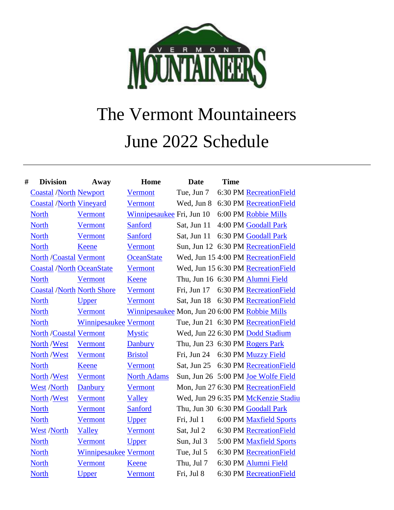

# The Vermont Mountaineers June 2022 Schedule

| # | <b>Division</b>                   | Away                         | Home                                           | <b>Date</b>                     | <b>Time</b> |                                      |
|---|-----------------------------------|------------------------------|------------------------------------------------|---------------------------------|-------------|--------------------------------------|
|   | <b>Coastal /North Newport</b>     |                              | <b>Vermont</b>                                 | Tue, Jun 7                      |             | 6:30 PM RecreationField              |
|   | <b>Coastal /North Vineyard</b>    |                              | <b>Vermont</b>                                 | Wed, Jun 8                      |             | 6:30 PM RecreationField              |
|   | <b>North</b>                      | Vermont                      | Winnipesaukee Fri, Jun 10                      |                                 |             | 6:00 PM Robbie Mills                 |
|   | <b>North</b>                      | Vermont                      | Sanford                                        | Sat, Jun 11                     |             | 4:00 PM Goodall Park                 |
|   | <b>North</b>                      | <b>Vermont</b>               | Sanford                                        | Sat, Jun 11                     |             | 6:30 PM Goodall Park                 |
|   | <b>North</b>                      | Keene                        | <b>Vermont</b>                                 |                                 |             | Sun, Jun 12 6:30 PM RecreationField  |
|   | <b>North /Coastal Vermont</b>     |                              | <b>OceanState</b>                              |                                 |             | Wed, Jun 15 4:00 PM RecreationField  |
|   | <b>Coastal /North OceanState</b>  |                              | Vermont                                        |                                 |             | Wed, Jun 15 6:30 PM RecreationField  |
|   | <b>North</b>                      | Vermont                      | <b>Keene</b>                                   |                                 |             | Thu, Jun 16 6:30 PM Alumni Field     |
|   | <b>Coastal /North North Shore</b> |                              | <b>Vermont</b>                                 | Fri, Jun 17                     |             | 6:30 PM RecreationField              |
|   | <b>North</b>                      | <b>Upper</b>                 | <b>Vermont</b>                                 |                                 |             | Sat, Jun 18 6:30 PM Recreation Field |
|   | <b>North</b>                      | <b>Vermont</b>               | Winnipesaukee Mon, Jun 20 6:00 PM Robbie Mills |                                 |             |                                      |
|   | <b>North</b>                      | <b>Winnipesaukee Vermont</b> |                                                |                                 |             | Tue, Jun 21 6:30 PM Recreation Field |
|   | <b>North /Coastal Vermont</b>     |                              | <b>Mystic</b>                                  |                                 |             | Wed, Jun 22 6:30 PM Dodd Stadium     |
|   | North /West                       | Vermont                      | <b>Danbury</b>                                 | Thu, Jun 23 6:30 PM Rogers Park |             |                                      |
|   | North /West                       | Vermont                      | <b>Bristol</b>                                 | Fri, Jun 24                     |             | 6:30 PM Muzzy Field                  |
|   | <b>North</b>                      | Keene                        | Vermont                                        |                                 |             | Sat, Jun 25 6:30 PM Recreation Field |
|   | North /West                       | Vermont                      | <b>North Adams</b>                             |                                 |             | Sun, Jun 26 5:00 PM Joe Wolfe Field  |
|   | <b>West /North</b>                | Danbury                      | <b>Vermont</b>                                 |                                 |             | Mon, Jun 27 6:30 PM Recreation Field |
|   | North /West                       | Vermont                      | Valley                                         |                                 |             | Wed, Jun 29 6:35 PM McKenzie Stadiu  |
|   | <b>North</b>                      | Vermont                      | <b>Sanford</b>                                 |                                 |             | Thu, Jun 30 6:30 PM Goodall Park     |
|   | <b>North</b>                      | Vermont                      | Upper                                          | Fri, Jul 1                      |             | 6:00 PM Maxfield Sports              |
|   | West /North                       | Valley                       | <b>Vermont</b>                                 | Sat, Jul 2                      |             | 6:30 PM RecreationField              |
|   | <b>North</b>                      | Vermont                      | <b>Upper</b>                                   | Sun, Jul 3                      |             | 5:00 PM Maxfield Sports              |
|   | <b>North</b>                      | <b>Winnipesaukee Vermont</b> |                                                | Tue, Jul 5                      |             | 6:30 PM RecreationField              |
|   | <b>North</b>                      | <b>Vermont</b>               | <b>Keene</b>                                   | Thu, Jul 7                      |             | 6:30 PM Alumni Field                 |
|   | <b>North</b>                      | <b>Upper</b>                 | <b>Vermont</b>                                 | Fri, Jul 8                      |             | 6:30 PM RecreationField              |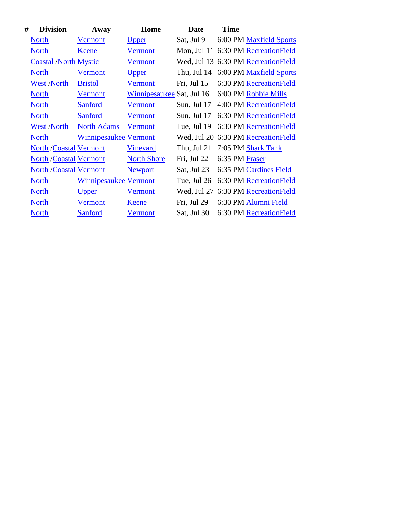| # | <b>Division</b>               | Away                         | Home                      | <b>Date</b> | <b>Time</b>    |                                      |
|---|-------------------------------|------------------------------|---------------------------|-------------|----------------|--------------------------------------|
|   | <b>North</b>                  | Vermont                      | <u>Upper</u>              | Sat, Jul 9  |                | 6:00 PM Maxfield Sports              |
|   | <b>North</b>                  | Keene                        | Vermont                   |             |                | Mon, Jul 11 6:30 PM Recreation Field |
|   | <b>Coastal /North Mystic</b>  |                              | Vermont                   |             |                | Wed, Jul 13 6:30 PM RecreationField  |
|   | <b>North</b>                  | Vermont                      | <u>Upper</u>              | Thu, Jul 14 |                | 6:00 PM Maxfield Sports              |
|   | West /North                   | <b>Bristol</b>               | Vermont                   | Fri, Jul 15 |                | 6:30 PM RecreationField              |
|   | <b>North</b>                  | Vermont                      | Winnipesaukee Sat, Jul 16 |             |                | 6:00 PM Robbie Mills                 |
|   | <b>North</b>                  | Sanford                      | Vermont                   | Sun, Jul 17 |                | 4:00 PM Recreation Field             |
|   | <b>North</b>                  | Sanford                      | Vermont                   | Sun, Jul 17 |                | 6:30 PM Recreation Field             |
|   | West /North                   | <b>North Adams</b>           | Vermont                   | Tue, Jul 19 |                | 6:30 PM RecreationField              |
|   | <b>North</b>                  | <b>Winnipesaukee Vermont</b> |                           |             |                | Wed, Jul 20 6:30 PM Recreation Field |
|   | <b>North /Coastal Vermont</b> |                              | <b>Vineyard</b>           | Thu, Jul 21 |                | 7:05 PM Shark Tank                   |
|   | <b>North /Coastal Vermont</b> |                              | <b>North Shore</b>        | Fri, Jul 22 | 6:35 PM Fraser |                                      |
|   | <b>North /Coastal Vermont</b> |                              | <b>Newport</b>            | Sat, Jul 23 |                | 6:35 PM Cardines Field               |
|   | <b>North</b>                  | <b>Winnipesaukee Vermont</b> |                           | Tue, Jul 26 |                | 6:30 PM Recreation Field             |
|   | <b>North</b>                  | <u>Upper</u>                 | Vermont                   | Wed, Jul 27 |                | 6:30 PM RecreationField              |
|   | <b>North</b>                  | Vermont                      | <u>Keene</u>              | Fri, Jul 29 |                | 6:30 PM Alumni Field                 |
|   | <b>North</b>                  | Sanford                      | <b>Vermont</b>            | Sat, Jul 30 |                | 6:30 PM Recreation Field             |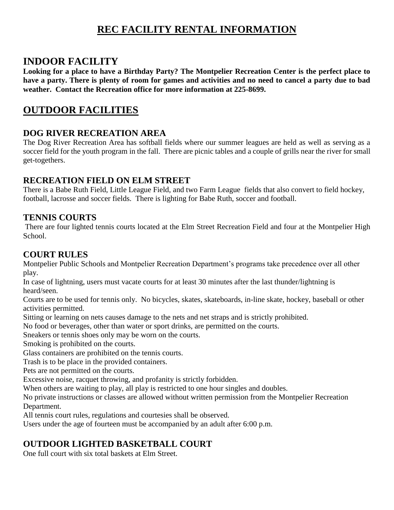## **REC FACILITY RENTAL INFORMATION**

#### **INDOOR FACILITY**

**Looking for a place to have a Birthday Party? The Montpelier Recreation Center is the perfect place to have a party. There is plenty of room for games and activities and no need to cancel a party due to bad weather. Contact the Recreation office for more information at 225-8699.**

### **OUTDOOR FACILITIES**

#### **DOG RIVER RECREATION AREA**

The Dog River Recreation Area has softball fields where our summer leagues are held as well as serving as a soccer field for the youth program in the fall. There are picnic tables and a couple of grills near the river for small get-togethers.

#### **RECREATION FIELD ON ELM STREET**

There is a Babe Ruth Field, Little League Field, and two Farm League fields that also convert to field hockey, football, lacrosse and soccer fields. There is lighting for Babe Ruth, soccer and football.

#### **TENNIS COURTS**

There are four lighted tennis courts located at the Elm Street Recreation Field and four at the Montpelier High School.

#### **COURT RULES**

Montpelier Public Schools and Montpelier Recreation Department's programs take precedence over all other play.

In case of lightning, users must vacate courts for at least 30 minutes after the last thunder/lightning is heard/seen.

Courts are to be used for tennis only. No bicycles, skates, skateboards, in-line skate, hockey, baseball or other activities permitted.

Sitting or learning on nets causes damage to the nets and net straps and is strictly prohibited.

No food or beverages, other than water or sport drinks, are permitted on the courts.

Sneakers or tennis shoes only may be worn on the courts.

Smoking is prohibited on the courts.

Glass containers are prohibited on the tennis courts.

Trash is to be place in the provided containers.

Pets are not permitted on the courts.

Excessive noise, racquet throwing, and profanity is strictly forbidden.

When others are waiting to play, all play is restricted to one hour singles and doubles.

No private instructions or classes are allowed without written permission from the Montpelier Recreation Department.

All tennis court rules, regulations and courtesies shall be observed.

Users under the age of fourteen must be accompanied by an adult after 6:00 p.m.

#### **OUTDOOR LIGHTED BASKETBALL COURT**

One full court with six total baskets at Elm Street.